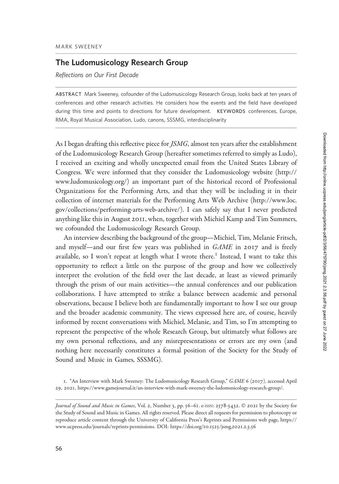# The Ludomusicology Research Group

Reflections on Our First Decade

ABSTRACT Mark Sweeney, cofounder of the Ludomusicology Research Group, looks back at ten years of conferences and other research activities. He considers how the events and the field have developed during this time and points to directions for future development. KEYWORDS conferences, Europe, RMA, Royal Musical Association, Ludo, canons, SSSMG, interdisciplinarity

As I began drafting this reflective piece for *JSMG*, almost ten years after the establishment of the Ludomusicology Research Group (hereafter sometimes referred to simply as Ludo), I received an exciting and wholly unexpected email from the United States Library of Congress. We were informed that they consider the Ludomusicology website ([http://](http://www.ludomusicology.org/) [www.ludomusicology.org/](http://www.ludomusicology.org/)) an important part of the historical record of Professional Organizations for the Performing Arts, and that they will be including it in their collection of internet materials for the Performing Arts Web Archive ([http://www.loc.](http://www.loc.gov/collections/performing-arts-web-archive/) [gov/collections/performing-arts-web-archive/\)](http://www.loc.gov/collections/performing-arts-web-archive/). I can safely say that I never predicted anything like this in August 2011, when, together with Michiel Kamp and Tim Summers, we cofounded the Ludomusicology Research Group.

An interview describing the background of the group—Michiel, Tim, Melanie Fritsch, and myself—and our first few years was published in GAME in 2017 and is freely available, so I won't repeat at length what I wrote there.<sup>1</sup> Instead, I want to take this opportunity to reflect a little on the purpose of the group and how we collectively interpret the evolution of the field over the last decade, at least as viewed primarily through the prism of our main activities—the annual conferences and our publication collaborations. I have attempted to strike a balance between academic and personal observations, because I believe both are fundamentally important to how I see our group and the broader academic community. The views expressed here are, of course, heavily informed by recent conversations with Michiel, Melanie, and Tim, so I'm attempting to represent the perspective of the whole Research Group, but ultimately what follows are my own personal reflections, and any misrepresentations or errors are my own (and nothing here necessarily constitutes a formal position of the Society for the Study of Sound and Music in Games, SSSMG).

<sup>1</sup>. "An Interview with Mark Sweeney: The Ludomusicology Research Group," GAME 6 (2017), accessed April 29, 2021,<https://www.gamejournal.it/an-interview-with-mark-sweeney-the-ludomusicology-research-group/>.

Journal of Sound and Music in Games, Vol. 2, Number 3, pp. 56-61. e-ISSN: 2578-3432. © 2021 by the Society for the Study of Sound and Music in Games. All rights reserved. Please direct all requests for permission to photocopy or reproduce article content through the University of California Press's Reprints and Permissions web page, [https://](https://www.ucpress.edu/journals/reprints-permissions) [www.ucpress.edu/journals/reprints-permissions](https://www.ucpress.edu/journals/reprints-permissions). [DOI: https://doi.org/](https://doi.org/10.1525/jsmg.2021.2.3.56)10.1525/jsmg.2021.2.3.56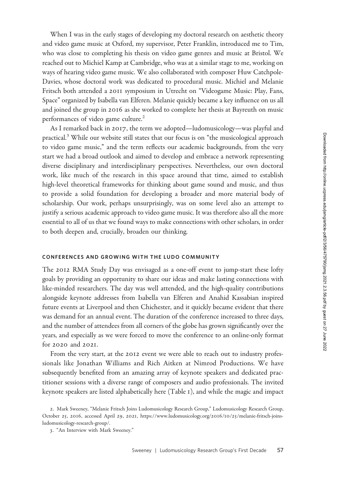When I was in the early stages of developing my doctoral research on aesthetic theory and video game music at Oxford, my supervisor, Peter Franklin, introduced me to Tim, who was close to completing his thesis on video game genres and music at Bristol. We reached out to Michiel Kamp at Cambridge, who was at a similar stage to me, working on ways of hearing video game music. We also collaborated with composer Huw Catchpole-Davies, whose doctoral work was dedicated to procedural music. Michiel and Melanie Fritsch both attended a 2011 symposium in Utrecht on "Videogame Music: Play, Fans, Space" organized by Isabella van Elferen. Melanie quickly became a key influence on us all and joined the group in 2016 as she worked to complete her thesis at Bayreuth on music performances of video game culture.<sup>2</sup>

As I remarked back in 2017, the term we adopted—ludomusicology—was playful and practical.<sup>3</sup> While our website still states that our focus is on "the musicological approach to video game music," and the term reflects our academic backgrounds, from the very start we had a broad outlook and aimed to develop and embrace a network representing diverse disciplinary and interdisciplinary perspectives. Nevertheless, our own doctoral work, like much of the research in this space around that time, aimed to establish high-level theoretical frameworks for thinking about game sound and music, and thus to provide a solid foundation for developing a broader and more material body of scholarship. Our work, perhaps unsurprisingly, was on some level also an attempt to justify a serious academic approach to video game music. It was therefore also all the more essential to all of us that we found ways to make connections with other scholars, in order to both deepen and, crucially, broaden our thinking.

### CONFERENCES AND GROWING WITH THE LUDO COMMUNITY

The 2012 RMA Study Day was envisaged as a one-off event to jump-start these lofty goals by providing an opportunity to share our ideas and make lasting connections with like-minded researchers. The day was well attended, and the high-quality contributions alongside keynote addresses from Isabella van Elferen and Anahid Kassabian inspired future events at Liverpool and then Chichester, and it quickly became evident that there was demand for an annual event. The duration of the conference increased to three days, and the number of attendees from all corners of the globe has grown significantly over the years, and especially as we were forced to move the conference to an online-only format for 2020 and 2021.

From the very start, at the 2012 event we were able to reach out to industry professionals like Jonathan Williams and Rich Aitken at Nimrod Productions. We have subsequently benefited from an amazing array of keynote speakers and dedicated practitioner sessions with a diverse range of composers and audio professionals. The invited keynote speakers are listed alphabetically here (Table 1), and while the magic and impact

<sup>2</sup>. Mark Sweeney, "Melanie Fritsch Joins Ludomusicology Research Group," Ludomusicology Research Group, October 25, 2016, accessed April 29, 2021, [https://www.ludomusicology.org/](https://www.ludomusicology.org/2016/10/25/melanie-fritsch-joins-ludomusicology-research-group/)2016/10/25/melanie-fritsch-joins[ludomusicology-research-group/](https://www.ludomusicology.org/2016/10/25/melanie-fritsch-joins-ludomusicology-research-group/).

<sup>3</sup>. "An Interview with Mark Sweeney."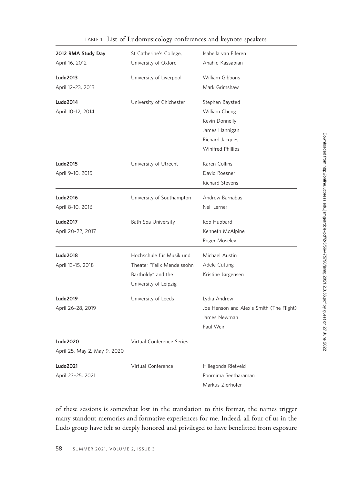| 2012 RMA Study Day<br>April 16, 2012            | St Catherine's College,<br>University of Oxford                                                       | Isabella van Elferen<br>Anahid Kassabian                                                                     |
|-------------------------------------------------|-------------------------------------------------------------------------------------------------------|--------------------------------------------------------------------------------------------------------------|
| Ludo2013<br>April 12-23, 2013                   | University of Liverpool                                                                               | William Gibbons<br>Mark Grimshaw                                                                             |
| Ludo2014<br>April 10-12, 2014                   | University of Chichester                                                                              | Stephen Baysted<br>William Cheng<br>Kevin Donnelly<br>James Hannigan<br>Richard Jacques<br>Winifred Phillips |
| Ludo2015<br>April 9-10, 2015                    | University of Utrecht                                                                                 | Karen Collins<br>David Roesner<br><b>Richard Stevens</b>                                                     |
| Ludo2016<br>April 8-10, 2016                    | University of Southampton                                                                             | Andrew Barnabas<br>Neil Lerner                                                                               |
| <b>Ludo2017</b><br>April 20-22, 2017            | <b>Bath Spa University</b>                                                                            | Rob Hubbard<br>Kenneth McAlpine<br>Roger Moseley                                                             |
| <b>Ludo2018</b><br>April 13-15, 2018            | Hochschule für Musik und<br>Theater "Felix Mendelssohn<br>Bartholdy" and the<br>University of Leipzig | Michael Austin<br>Adele Cutting<br>Kristine Jørgensen                                                        |
| Ludo2019<br>April 26-28, 2019                   | University of Leeds                                                                                   | Lydia Andrew<br>Joe Henson and Alexis Smith (The Flight)<br>James Newman<br>Paul Weir                        |
| <b>Ludo2020</b><br>April 25, May 2, May 9, 2020 | Virtual Conference Series                                                                             |                                                                                                              |
| <b>Ludo2021</b><br>April 23-25, 2021            | Virtual Conference                                                                                    | Hillegonda Rietveld<br>Poornima Seetharaman<br>Markus Zierhofer                                              |

## TABLE 1. List of Ludomusicology conferences and keynote speakers.

of these sessions is somewhat lost in the translation to this format, the names trigger many standout memories and formative experiences for me. Indeed, all four of us in the Ludo group have felt so deeply honored and privileged to have benefitted from exposure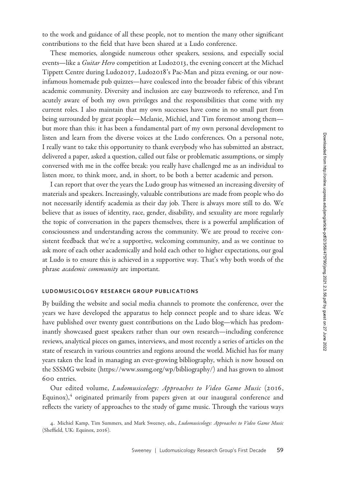to the work and guidance of all these people, not to mention the many other significant contributions to the field that have been shared at a Ludo conference.

These memories, alongside numerous other speakers, sessions, and especially social events—like a *Guitar Hero* competition at Ludo2013, the evening concert at the Michael Tippett Centre during Ludo2017, Ludo2018's Pac-Man and pizza evening, or our nowinfamous homemade pub quizzes—have coalesced into the broader fabric of this vibrant academic community. Diversity and inclusion are easy buzzwords to reference, and I'm acutely aware of both my own privileges and the responsibilities that come with my current roles. I also maintain that my own successes have come in no small part from being surrounded by great people—Melanie, Michiel, and Tim foremost among them but more than this: it has been a fundamental part of my own personal development to listen and learn from the diverse voices at the Ludo conferences. On a personal note, I really want to take this opportunity to thank everybody who has submitted an abstract, delivered a paper, asked a question, called out false or problematic assumptions, or simply conversed with me in the coffee break: you really have challenged me as an individual to listen more, to think more, and, in short, to be both a better academic and person.

I can report that over the years the Ludo group has witnessed an increasing diversity of materials and speakers. Increasingly, valuable contributions are made from people who do not necessarily identify academia as their day job. There is always more still to do. We believe that as issues of identity, race, gender, disability, and sexuality are more regularly the topic of conversation in the papers themselves, there is a powerful amplification of consciousness and understanding across the community. We are proud to receive consistent feedback that we're a supportive, welcoming community, and as we continue to ask more of each other academically and hold each other to higher expectations, our goal at Ludo is to ensure this is achieved in a supportive way. That's why both words of the phrase academic community are important.

#### LUDOMUSICOLOGY RESEARCH GROUP PUBLICATIONS

By building the website and social media channels to promote the conference, over the years we have developed the apparatus to help connect people and to share ideas. We have published over twenty guest contributions on the Ludo blog—which has predominantly showcased guest speakers rather than our own research—including conference reviews, analytical pieces on games, interviews, and most recently a series of articles on the state of research in various countries and regions around the world. Michiel has for many years taken the lead in managing an ever-growing bibliography, which is now housed on the SSSMG website (<https://www.sssmg.org/wp/bibliography/>) and has grown to almost 600 entries.

Our edited volume, Ludomusicology: Approaches to Video Game Music (2016, Equinox), $4$  originated primarily from papers given at our inaugural conference and reflects the variety of approaches to the study of game music. Through the various ways

4. Michiel Kamp, Tim Summers, and Mark Sweeney, eds., Ludomusicology: Approaches to Video Game Music (Sheffield, UK: Equinox, 2016).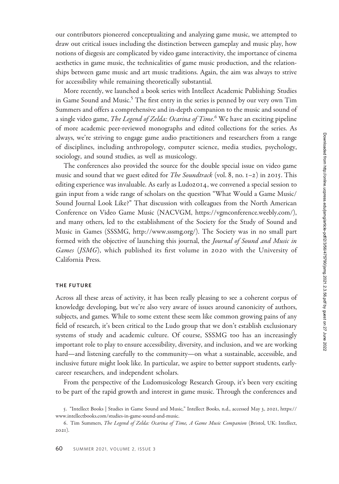our contributors pioneered conceptualizing and analyzing game music, we attempted to draw out critical issues including the distinction between gameplay and music play, how notions of diegesis are complicated by video game interactivity, the importance of cinema aesthetics in game music, the technicalities of game music production, and the relationships between game music and art music traditions. Again, the aim was always to strive for accessibility while remaining theoretically substantial.

More recently, we launched a book series with Intellect Academic Publishing: Studies in Game Sound and Music.<sup>5</sup> The first entry in the series is penned by our very own Tim Summers and offers a comprehensive and in-depth companion to the music and sound of a single video game, *The Legend of Zelda: Ocarina of Time*.<sup>6</sup> We have an exciting pipeline of more academic peer-reviewed monographs and edited collections for the series. As always, we're striving to engage game audio practitioners and researchers from a range of disciplines, including anthropology, computer science, media studies, psychology, sociology, and sound studies, as well as musicology.

The conferences also provided the source for the double special issue on video game music and sound that we guest edited for *The Soundtrack* (vol. 8, no.  $I-2$ ) in 2015. This editing experience was invaluable. As early as  $Ludo2014$ , we convened a special session to gain input from a wide range of scholars on the question "What Would a Game Music/ Sound Journal Look Like?" That discussion with colleagues from the North American Conference on Video Game Music (NACVGM, [https://vgmconference.weebly.com/\)](https://vgmconference.weebly.com/), and many others, led to the establishment of the Society for the Study of Sound and Music in Games (SSSMG, [http://www.sssmg.org/\)](http://www.sssmg.org/). The Society was in no small part formed with the objective of launching this journal, the *Journal of Sound and Music in* Games (JSMG), which published its first volume in 2020 with the University of California Press.

### THE FUTURE

Across all these areas of activity, it has been really pleasing to see a coherent corpus of knowledge developing, but we're also very aware of issues around canonicity of authors, subjects, and games. While to some extent these seem like common growing pains of any field of research, it's been critical to the Ludo group that we don't establish exclusionary systems of study and academic culture. Of course, SSSMG too has an increasingly important role to play to ensure accessibility, diversity, and inclusion, and we are working hard—and listening carefully to the community—on what a sustainable, accessible, and inclusive future might look like. In particular, we aspire to better support students, earlycareer researchers, and independent scholars.

From the perspective of the Ludomusicology Research Group, it's been very exciting to be part of the rapid growth and interest in game music. Through the conferences and

<sup>5</sup>. "Intellect Books | Studies in Game Sound and Music," Intellect Books, n.d., accessed May 3, 2021, [https://](https://www.intellectbooks.com/studies-in-game-sound-and-music) [www.intellectbooks.com/studies-in-game-sound-and-music](https://www.intellectbooks.com/studies-in-game-sound-and-music).

<sup>6</sup>. Tim Summers, The Legend of Zelda: Ocarina of Time, A Game Music Companion (Bristol, UK: Intellect, 2021).